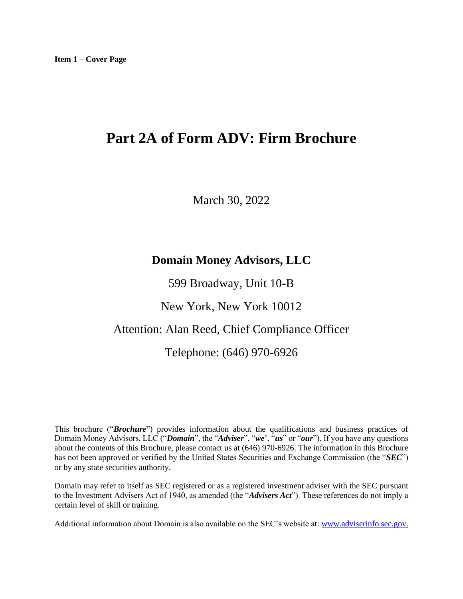# <span id="page-0-0"></span>**Part 2A of Form ADV: Firm Brochure**

March 30, 2022

## **Domain Money Advisors, LLC**

599 Broadway, Unit 10-B

New York, New York 10012

## Attention: Alan Reed, Chief Compliance Officer

## Telephone: (646) 970-6926

This brochure ("*Brochure*") provides information about the qualifications and business practices of Domain Money Advisors, LLC ("*Domain*", the "*Adviser*", "*we*', "*us*" or "*our*"). If you have any questions about the contents of this Brochure, please contact us at (646) 970-6926. The information in this Brochure has not been approved or verified by the United States Securities and Exchange Commission (the "*SEC*") or by any state securities authority.

Domain may refer to itself as SEC registered or as a registered investment adviser with the SEC pursuant to the Investment Advisers Act of 1940, as amended (the "*Advisers Act*"). These references do not imply a certain level of skill or training.

Additional information about Domain is also available on the SEC's website at: [www.adviserinfo.sec.gov.](http://www.adviserinfo.sec.gov./)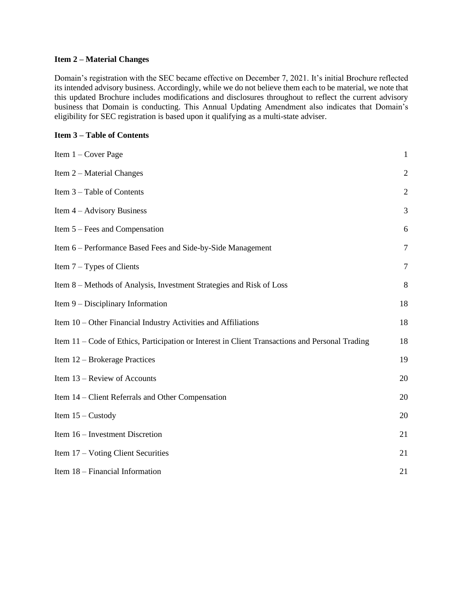#### <span id="page-1-0"></span>**Item 2 – Material Changes**

Domain's registration with the SEC became effective on December 7, 2021. It's initial Brochure reflected its intended advisory business. Accordingly, while we do not believe them each to be material, we note that this updated Brochure includes modifications and disclosures throughout to reflect the current advisory business that Domain is conducting. This Annual Updating Amendment also indicates that Domain's eligibility for SEC registration is based upon it qualifying as a multi-state adviser.

## <span id="page-1-1"></span>**Item 3 – Table of Contents**

| Item $1 -$ Cover Page                                                                           | $\mathbf{1}$   |
|-------------------------------------------------------------------------------------------------|----------------|
| Item 2 – Material Changes                                                                       | $\mathfrak{2}$ |
| Item 3 – Table of Contents                                                                      | $\overline{2}$ |
| Item $4 -$ Advisory Business                                                                    | 3              |
| Item $5 - \text{Fees}$ and Compensation                                                         | 6              |
| Item 6 – Performance Based Fees and Side-by-Side Management                                     | $\overline{7}$ |
| Item $7 - Types$ of Clients                                                                     | $\overline{7}$ |
| Item 8 – Methods of Analysis, Investment Strategies and Risk of Loss                            | 8              |
| Item 9 – Disciplinary Information                                                               | 18             |
| Item 10 – Other Financial Industry Activities and Affiliations                                  | 18             |
| Item 11 – Code of Ethics, Participation or Interest in Client Transactions and Personal Trading | 18             |
| Item 12 – Brokerage Practices                                                                   | 19             |
| Item 13 – Review of Accounts                                                                    | 20             |
| Item 14 – Client Referrals and Other Compensation                                               | 20             |
| Item $15 -$ Custody                                                                             | 20             |
| Item 16 – Investment Discretion                                                                 | 21             |
| Item 17 – Voting Client Securities                                                              | 21             |
| Item 18 – Financial Information                                                                 | 21             |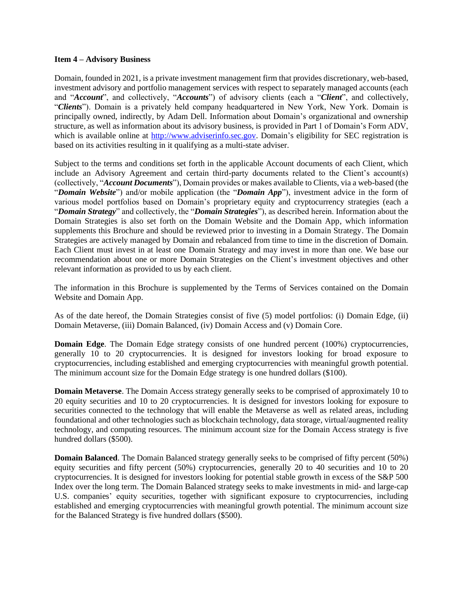#### <span id="page-2-0"></span>**Item 4 – Advisory Business**

Domain, founded in 2021, is a private investment management firm that provides discretionary, web-based, investment advisory and portfolio management services with respect to separately managed accounts (each and "*Account*", and collectively, "*Accounts*") of advisory clients (each a "*Client*", and collectively, "*Clients*"). Domain is a privately held company headquartered in New York, New York. Domain is principally owned, indirectly, by Adam Dell. Information about Domain's organizational and ownership structure, as well as information about its advisory business, is provided in Part 1 of Domain's Form ADV, which is available online at [http://www.adviserinfo.sec.gov.](http://www.adviserinfo.sec.gov/) Domain's eligibility for SEC registration is based on its activities resulting in it qualifying as a multi-state adviser.

Subject to the terms and conditions set forth in the applicable Account documents of each Client, which include an Advisory Agreement and certain third-party documents related to the Client's account(s) (collectively, "*Account Documents*"), Domain provides or makes available to Clients, via a web-based (the "*Domain Website*") and/or mobile application (the "*Domain App*"), investment advice in the form of various model portfolios based on Domain's proprietary equity and cryptocurrency strategies (each a "*Domain Strategy*" and collectively, the "*Domain Strategies*"), as described herein. Information about the Domain Strategies is also set forth on the Domain Website and the Domain App, which information supplements this Brochure and should be reviewed prior to investing in a Domain Strategy. The Domain Strategies are actively managed by Domain and rebalanced from time to time in the discretion of Domain. Each Client must invest in at least one Domain Strategy and may invest in more than one. We base our recommendation about one or more Domain Strategies on the Client's investment objectives and other relevant information as provided to us by each client.

The information in this Brochure is supplemented by the Terms of Services contained on the Domain Website and Domain App.

As of the date hereof, the Domain Strategies consist of five (5) model portfolios: (i) Domain Edge, (ii) Domain Metaverse, (iii) Domain Balanced, (iv) Domain Access and (v) Domain Core.

**Domain Edge**. The Domain Edge strategy consists of one hundred percent (100%) cryptocurrencies, generally 10 to 20 cryptocurrencies. It is designed for investors looking for broad exposure to cryptocurrencies, including established and emerging cryptocurrencies with meaningful growth potential. The minimum account size for the Domain Edge strategy is one hundred dollars (\$100).

**Domain Metaverse**. The Domain Access strategy generally seeks to be comprised of approximately 10 to 20 equity securities and 10 to 20 cryptocurrencies. It is designed for investors looking for exposure to securities connected to the technology that will enable the Metaverse as well as related areas, including foundational and other technologies such as blockchain technology, data storage, virtual/augmented reality technology, and computing resources. The minimum account size for the Domain Access strategy is five hundred dollars (\$500).

**Domain Balanced**. The Domain Balanced strategy generally seeks to be comprised of fifty percent (50%) equity securities and fifty percent (50%) cryptocurrencies, generally 20 to 40 securities and 10 to 20 cryptocurrencies. It is designed for investors looking for potential stable growth in excess of the S&P 500 Index over the long term. The Domain Balanced strategy seeks to make investments in mid- and large-cap U.S. companies' equity securities, together with significant exposure to cryptocurrencies, including established and emerging cryptocurrencies with meaningful growth potential. The minimum account size for the Balanced Strategy is five hundred dollars (\$500).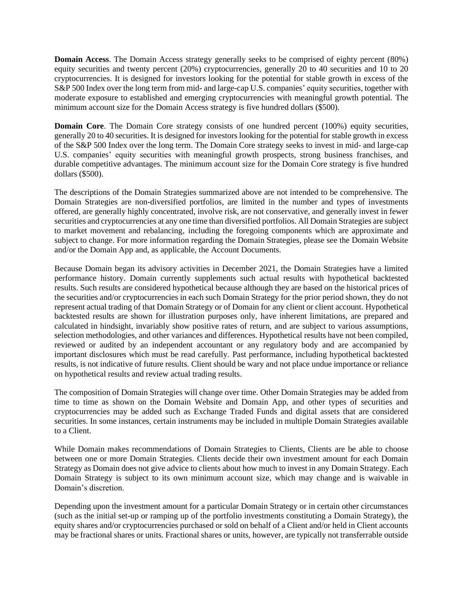**Domain Access**. The Domain Access strategy generally seeks to be comprised of eighty percent (80%) equity securities and twenty percent (20%) cryptocurrencies, generally 20 to 40 securities and 10 to 20 cryptocurrencies. It is designed for investors looking for the potential for stable growth in excess of the S&P 500 Index over the long term from mid- and large-cap U.S. companies' equity securities, together with moderate exposure to established and emerging cryptocurrencies with meaningful growth potential. The minimum account size for the Domain Access strategy is five hundred dollars (\$500).

**Domain Core**. The Domain Core strategy consists of one hundred percent (100%) equity securities, generally 20 to 40 securities. It is designed for investors looking for the potential for stable growth in excess of the S&P 500 Index over the long term. The Domain Core strategy seeks to invest in mid- and large-cap U.S. companies' equity securities with meaningful growth prospects, strong business franchises, and durable competitive advantages. The minimum account size for the Domain Core strategy is five hundred dollars (\$500).

The descriptions of the Domain Strategies summarized above are not intended to be comprehensive. The Domain Strategies are non-diversified portfolios, are limited in the number and types of investments offered, are generally highly concentrated, involve risk, are not conservative, and generally invest in fewer securities and cryptocurrencies at any one time than diversified portfolios. All Domain Strategies are subject to market movement and rebalancing, including the foregoing components which are approximate and subject to change. For more information regarding the Domain Strategies, please see the Domain Website and/or the Domain App and, as applicable, the Account Documents.

Because Domain began its advisory activities in December 2021, the Domain Strategies have a limited performance history. Domain currently supplements such actual results with hypothetical backtested results. Such results are considered hypothetical because although they are based on the historical prices of the securities and/or cryptocurrencies in each such Domain Strategy for the prior period shown, they do not represent actual trading of that Domain Strategy or of Domain for any client or client account. Hypothetical backtested results are shown for illustration purposes only, have inherent limitations, are prepared and calculated in hindsight, invariably show positive rates of return, and are subject to various assumptions, selection methodologies, and other variances and differences. Hypothetical results have not been compiled, reviewed or audited by an independent accountant or any regulatory body and are accompanied by important disclosures which must be read carefully. Past performance, including hypothetical backtested results, is not indicative of future results. Client should be wary and not place undue importance or reliance on hypothetical results and review actual trading results.

The composition of Domain Strategies will change over time. Other Domain Strategies may be added from time to time as shown on the Domain Website and Domain App, and other types of securities and cryptocurrencies may be added such as Exchange Traded Funds and digital assets that are considered securities. In some instances, certain instruments may be included in multiple Domain Strategies available to a Client.

While Domain makes recommendations of Domain Strategies to Clients, Clients are be able to choose between one or more Domain Strategies. Clients decide their own investment amount for each Domain Strategy as Domain does not give advice to clients about how much to invest in any Domain Strategy. Each Domain Strategy is subject to its own minimum account size, which may change and is waivable in Domain's discretion.

Depending upon the investment amount for a particular Domain Strategy or in certain other circumstances (such as the initial set-up or ramping up of the portfolio investments constituting a Domain Strategy), the equity shares and/or cryptocurrencies purchased or sold on behalf of a Client and/or held in Client accounts may be fractional shares or units. Fractional shares or units, however, are typically not transferrable outside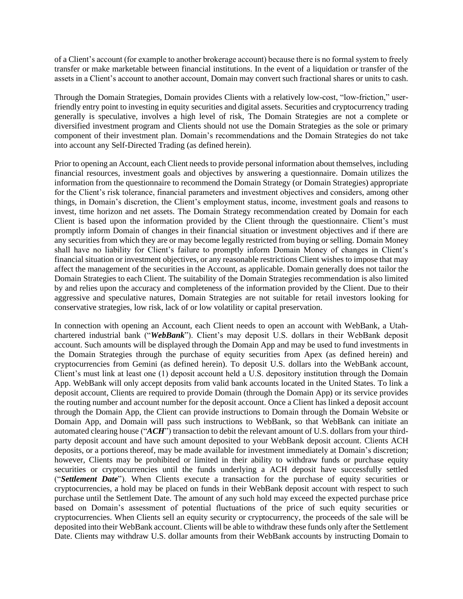of a Client's account (for example to another brokerage account) because there is no formal system to freely transfer or make marketable between financial institutions. In the event of a liquidation or transfer of the assets in a Client's account to another account, Domain may convert such fractional shares or units to cash.

Through the Domain Strategies, Domain provides Clients with a relatively low-cost, "low-friction," userfriendly entry point to investing in equity securities and digital assets. Securities and cryptocurrency trading generally is speculative, involves a high level of risk, The Domain Strategies are not a complete or diversified investment program and Clients should not use the Domain Strategies as the sole or primary component of their investment plan. Domain's recommendations and the Domain Strategies do not take into account any Self-Directed Trading (as defined herein).

Prior to opening an Account, each Client needs to provide personal information about themselves, including financial resources, investment goals and objectives by answering a questionnaire. Domain utilizes the information from the questionnaire to recommend the Domain Strategy (or Domain Strategies) appropriate for the Client's risk tolerance, financial parameters and investment objectives and considers, among other things, in Domain's discretion, the Client's employment status, income, investment goals and reasons to invest, time horizon and net assets. The Domain Strategy recommendation created by Domain for each Client is based upon the information provided by the Client through the questionnaire. Client's must promptly inform Domain of changes in their financial situation or investment objectives and if there are any securities from which they are or may become legally restricted from buying or selling. Domain Money shall have no liability for Client's failure to promptly inform Domain Money of changes in Client's financial situation or investment objectives, or any reasonable restrictions Client wishes to impose that may affect the management of the securities in the Account, as applicable. Domain generally does not tailor the Domain Strategies to each Client. The suitability of the Domain Strategies recommendation is also limited by and relies upon the accuracy and completeness of the information provided by the Client. Due to their aggressive and speculative natures, Domain Strategies are not suitable for retail investors looking for conservative strategies, low risk, lack of or low volatility or capital preservation.

In connection with opening an Account, each Client needs to open an account with WebBank, a Utahchartered industrial bank ("*WebBank*"). Client's may deposit U.S. dollars in their WebBank deposit account. Such amounts will be displayed through the Domain App and may be used to fund investments in the Domain Strategies through the purchase of equity securities from Apex (as defined herein) and cryptocurrencies from Gemini (as defined herein). To deposit U.S. dollars into the WebBank account, Client's must link at least one (1) deposit account held a U.S. depository institution through the Domain App. WebBank will only accept deposits from valid bank accounts located in the United States. To link a deposit account, Clients are required to provide Domain (through the Domain App) or its service provides the routing number and account number for the deposit account. Once a Client has linked a deposit account through the Domain App, the Client can provide instructions to Domain through the Domain Website or Domain App, and Domain will pass such instructions to WebBank, so that WebBank can initiate an automated clearing house ("*ACH*") transaction to debit the relevant amount of U.S. dollars from your thirdparty deposit account and have such amount deposited to your WebBank deposit account. Clients ACH deposits, or a portions thereof, may be made available for investment immediately at Domain's discretion; however, Clients may be prohibited or limited in their ability to withdraw funds or purchase equity securities or cryptocurrencies until the funds underlying a ACH deposit have successfully settled ("*Settlement Date*"). When Clients execute a transaction for the purchase of equity securities or cryptocurrencies, a hold may be placed on funds in their WebBank deposit account with respect to such purchase until the Settlement Date. The amount of any such hold may exceed the expected purchase price based on Domain's assessment of potential fluctuations of the price of such equity securities or cryptocurrencies. When Clients sell an equity security or cryptocurrency, the proceeds of the sale will be deposited into their WebBank account. Clients will be able to withdraw these funds only after the Settlement Date. Clients may withdraw U.S. dollar amounts from their WebBank accounts by instructing Domain to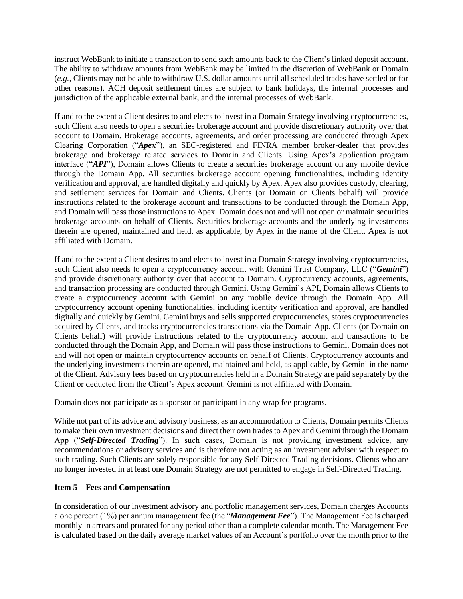instruct WebBank to initiate a transaction to send such amounts back to the Client's linked deposit account. The ability to withdraw amounts from WebBank may be limited in the discretion of WebBank or Domain (*e.g.,* Clients may not be able to withdraw U.S. dollar amounts until all scheduled trades have settled or for other reasons). ACH deposit settlement times are subject to bank holidays, the internal processes and jurisdiction of the applicable external bank, and the internal processes of WebBank.

If and to the extent a Client desires to and elects to invest in a Domain Strategy involving cryptocurrencies, such Client also needs to open a securities brokerage account and provide discretionary authority over that account to Domain. Brokerage accounts, agreements, and order processing are conducted through Apex Clearing Corporation ("*Apex*"), an SEC-registered and FINRA member broker-dealer that provides brokerage and brokerage related services to Domain and Clients. Using Apex's application program interface ("*API*"), Domain allows Clients to create a securities brokerage account on any mobile device through the Domain App. All securities brokerage account opening functionalities, including identity verification and approval, are handled digitally and quickly by Apex. Apex also provides custody, clearing, and settlement services for Domain and Clients. Clients (or Domain on Clients behalf) will provide instructions related to the brokerage account and transactions to be conducted through the Domain App, and Domain will pass those instructions to Apex. Domain does not and will not open or maintain securities brokerage accounts on behalf of Clients. Securities brokerage accounts and the underlying investments therein are opened, maintained and held, as applicable, by Apex in the name of the Client. Apex is not affiliated with Domain.

If and to the extent a Client desires to and elects to invest in a Domain Strategy involving cryptocurrencies, such Client also needs to open a cryptocurrency account with Gemini Trust Company, LLC ("*Gemini*") and provide discretionary authority over that account to Domain. Cryptocurrency accounts, agreements, and transaction processing are conducted through Gemini. Using Gemini's API, Domain allows Clients to create a cryptocurrency account with Gemini on any mobile device through the Domain App. All cryptocurrency account opening functionalities, including identity verification and approval, are handled digitally and quickly by Gemini. Gemini buys and sells supported cryptocurrencies, stores cryptocurrencies acquired by Clients, and tracks cryptocurrencies transactions via the Domain App. Clients (or Domain on Clients behalf) will provide instructions related to the cryptocurrency account and transactions to be conducted through the Domain App, and Domain will pass those instructions to Gemini. Domain does not and will not open or maintain cryptocurrency accounts on behalf of Clients. Cryptocurrency accounts and the underlying investments therein are opened, maintained and held, as applicable, by Gemini in the name of the Client. Advisory fees based on cryptocurrencies held in a Domain Strategy are paid separately by the Client or deducted from the Client's Apex account. Gemini is not affiliated with Domain.

Domain does not participate as a sponsor or participant in any wrap fee programs.

While not part of its advice and advisory business, as an accommodation to Clients, Domain permits Clients to make their own investment decisions and direct their own trades to Apex and Gemini through the Domain App ("*Self-Directed Trading*"). In such cases, Domain is not providing investment advice, any recommendations or advisory services and is therefore not acting as an investment adviser with respect to such trading. Such Clients are solely responsible for any Self-Directed Trading decisions. Clients who are no longer invested in at least one Domain Strategy are not permitted to engage in Self-Directed Trading.

## <span id="page-5-0"></span>**Item 5 – Fees and Compensation**

In consideration of our investment advisory and portfolio management services, Domain charges Accounts a one percent (1%) per annum management fee (the "*Management Fee*"). The Management Fee is charged monthly in arrears and prorated for any period other than a complete calendar month. The Management Fee is calculated based on the daily average market values of an Account's portfolio over the month prior to the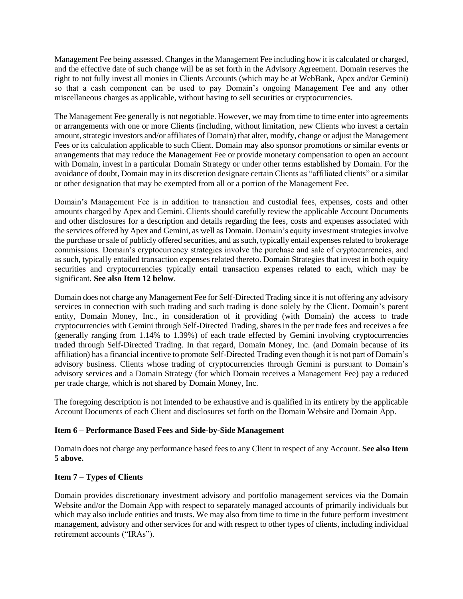Management Fee being assessed. Changes in the Management Fee including how it is calculated or charged, and the effective date of such change will be as set forth in the Advisory Agreement. Domain reserves the right to not fully invest all monies in Clients Accounts (which may be at WebBank, Apex and/or Gemini) so that a cash component can be used to pay Domain's ongoing Management Fee and any other miscellaneous charges as applicable, without having to sell securities or cryptocurrencies.

The Management Fee generally is not negotiable. However, we may from time to time enter into agreements or arrangements with one or more Clients (including, without limitation, new Clients who invest a certain amount, strategic investors and/or affiliates of Domain) that alter, modify, change or adjust the Management Fees or its calculation applicable to such Client. Domain may also sponsor promotions or similar events or arrangements that may reduce the Management Fee or provide monetary compensation to open an account with Domain, invest in a particular Domain Strategy or under other terms established by Domain. For the avoidance of doubt, Domain may in its discretion designate certain Clients as "affiliated clients" or a similar or other designation that may be exempted from all or a portion of the Management Fee.

Domain's Management Fee is in addition to transaction and custodial fees, expenses, costs and other amounts charged by Apex and Gemini. Clients should carefully review the applicable Account Documents and other disclosures for a description and details regarding the fees, costs and expenses associated with the services offered by Apex and Gemini, as well as Domain. Domain's equity investment strategies involve the purchase or sale of publicly offered securities, and as such, typically entail expenses related to brokerage commissions. Domain's cryptocurrency strategies involve the purchase and sale of cryptocurrencies, and as such, typically entailed transaction expenses related thereto. Domain Strategies that invest in both equity securities and cryptocurrencies typically entail transaction expenses related to each, which may be significant. **See also Item 12 below**.

Domain does not charge any Management Fee for Self-Directed Trading since it is not offering any advisory services in connection with such trading and such trading is done solely by the Client. Domain's parent entity, Domain Money, Inc., in consideration of it providing (with Domain) the access to trade cryptocurrencies with Gemini through Self-Directed Trading, shares in the per trade fees and receives a fee (generally ranging from 1.14% to 1.39%) of each trade effected by Gemini involving cryptocurrencies traded through Self-Directed Trading. In that regard, Domain Money, Inc. (and Domain because of its affiliation) has a financial incentive to promote Self-Directed Trading even though it is not part of Domain's advisory business. Clients whose trading of cryptocurrencies through Gemini is pursuant to Domain's advisory services and a Domain Strategy (for which Domain receives a Management Fee) pay a reduced per trade charge, which is not shared by Domain Money, Inc.

The foregoing description is not intended to be exhaustive and is qualified in its entirety by the applicable Account Documents of each Client and disclosures set forth on the Domain Website and Domain App.

## <span id="page-6-0"></span>**Item 6 – Performance Based Fees and Side-by-Side Management**

Domain does not charge any performance based fees to any Client in respect of any Account. **See also Item 5 above.**

## <span id="page-6-1"></span>**Item 7 – Types of Clients**

Domain provides discretionary investment advisory and portfolio management services via the Domain Website and/or the Domain App with respect to separately managed accounts of primarily individuals but which may also include entities and trusts. We may also from time to time in the future perform investment management, advisory and other services for and with respect to other types of clients, including individual retirement accounts ("IRAs").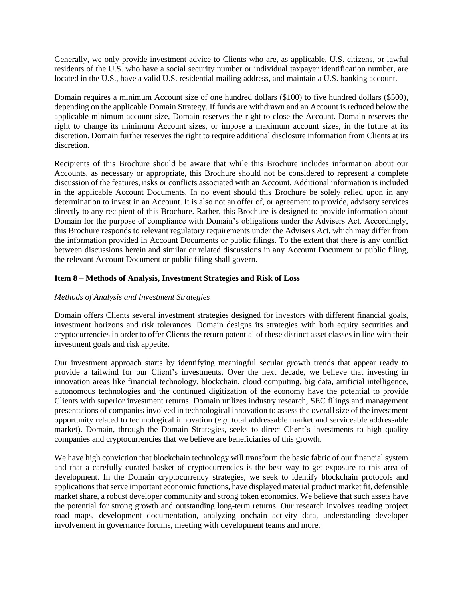Generally, we only provide investment advice to Clients who are, as applicable, U.S. citizens, or lawful residents of the U.S. who have a social security number or individual taxpayer identification number, are located in the U.S., have a valid U.S. residential mailing address, and maintain a U.S. banking account.

Domain requires a minimum Account size of one hundred dollars (\$100) to five hundred dollars (\$500), depending on the applicable Domain Strategy. If funds are withdrawn and an Account is reduced below the applicable minimum account size, Domain reserves the right to close the Account. Domain reserves the right to change its minimum Account sizes, or impose a maximum account sizes, in the future at its discretion. Domain further reserves the right to require additional disclosure information from Clients at its discretion.

Recipients of this Brochure should be aware that while this Brochure includes information about our Accounts, as necessary or appropriate, this Brochure should not be considered to represent a complete discussion of the features, risks or conflicts associated with an Account. Additional information is included in the applicable Account Documents. In no event should this Brochure be solely relied upon in any determination to invest in an Account. It is also not an offer of, or agreement to provide, advisory services directly to any recipient of this Brochure. Rather, this Brochure is designed to provide information about Domain for the purpose of compliance with Domain's obligations under the Advisers Act. Accordingly, this Brochure responds to relevant regulatory requirements under the Advisers Act, which may differ from the information provided in Account Documents or public filings. To the extent that there is any conflict between discussions herein and similar or related discussions in any Account Document or public filing, the relevant Account Document or public filing shall govern.

## <span id="page-7-0"></span>**Item 8 – Methods of Analysis, Investment Strategies and Risk of Loss**

## *Methods of Analysis and Investment Strategies*

Domain offers Clients several investment strategies designed for investors with different financial goals, investment horizons and risk tolerances. Domain designs its strategies with both equity securities and cryptocurrencies in order to offer Clients the return potential of these distinct asset classes in line with their investment goals and risk appetite.

Our investment approach starts by identifying meaningful secular growth trends that appear ready to provide a tailwind for our Client's investments. Over the next decade, we believe that investing in innovation areas like financial technology, blockchain, cloud computing, big data, artificial intelligence, autonomous technologies and the continued digitization of the economy have the potential to provide Clients with superior investment returns. Domain utilizes industry research, SEC filings and management presentations of companies involved in technological innovation to assess the overall size of the investment opportunity related to technological innovation (*e.g.* total addressable market and serviceable addressable market). Domain, through the Domain Strategies, seeks to direct Client's investments to high quality companies and cryptocurrencies that we believe are beneficiaries of this growth.

We have high conviction that blockchain technology will transform the basic fabric of our financial system and that a carefully curated basket of cryptocurrencies is the best way to get exposure to this area of development. In the Domain cryptocurrency strategies, we seek to identify blockchain protocols and applications that serve important economic functions, have displayed material product market fit, defensible market share, a robust developer community and strong token economics. We believe that such assets have the potential for strong growth and outstanding long-term returns. Our research involves reading project road maps, development documentation, analyzing onchain activity data, understanding developer involvement in governance forums, meeting with development teams and more.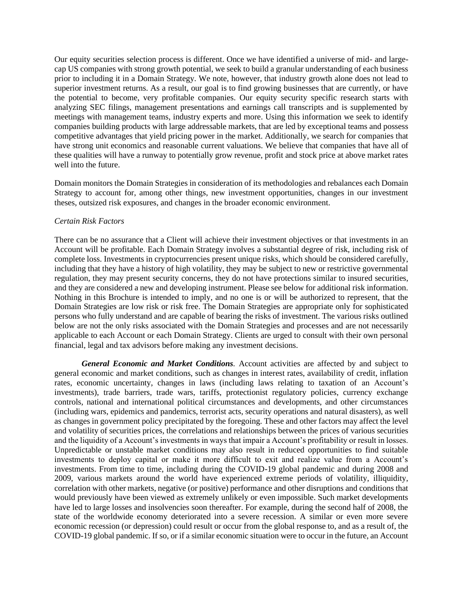Our equity securities selection process is different. Once we have identified a universe of mid- and largecap US companies with strong growth potential, we seek to build a granular understanding of each business prior to including it in a Domain Strategy. We note, however, that industry growth alone does not lead to superior investment returns. As a result, our goal is to find growing businesses that are currently, or have the potential to become, very profitable companies. Our equity security specific research starts with analyzing SEC filings, management presentations and earnings call transcripts and is supplemented by meetings with management teams, industry experts and more. Using this information we seek to identify companies building products with large addressable markets, that are led by exceptional teams and possess competitive advantages that yield pricing power in the market. Additionally, we search for companies that have strong unit economics and reasonable current valuations. We believe that companies that have all of these qualities will have a runway to potentially grow revenue, profit and stock price at above market rates well into the future.

Domain monitors the Domain Strategies in consideration of its methodologies and rebalances each Domain Strategy to account for, among other things, new investment opportunities, changes in our investment theses, outsized risk exposures, and changes in the broader economic environment.

#### *Certain Risk Factors*

There can be no assurance that a Client will achieve their investment objectives or that investments in an Account will be profitable. Each Domain Strategy involves a substantial degree of risk, including risk of complete loss. Investments in cryptocurrencies present unique risks, which should be considered carefully, including that they have a history of high volatility, they may be subject to new or restrictive governmental regulation, they may present security concerns, they do not have protections similar to insured securities, and they are considered a new and developing instrument. Please see below for additional risk information. Nothing in this Brochure is intended to imply, and no one is or will be authorized to represent, that the Domain Strategies are low risk or risk free. The Domain Strategies are appropriate only for sophisticated persons who fully understand and are capable of bearing the risks of investment. The various risks outlined below are not the only risks associated with the Domain Strategies and processes and are not necessarily applicable to each Account or each Domain Strategy. Clients are urged to consult with their own personal financial, legal and tax advisors before making any investment decisions.

*General Economic and Market Conditions.* Account activities are affected by and subject to general economic and market conditions, such as changes in interest rates, availability of credit, inflation rates, economic uncertainty, changes in laws (including laws relating to taxation of an Account's investments), trade barriers, trade wars, tariffs, protectionist regulatory policies, currency exchange controls, national and international political circumstances and developments, and other circumstances (including wars, epidemics and pandemics, terrorist acts, security operations and natural disasters), as well as changes in government policy precipitated by the foregoing. These and other factors may affect the level and volatility of securities prices, the correlations and relationships between the prices of various securities and the liquidity of a Account's investments in ways that impair a Account's profitability or result in losses. Unpredictable or unstable market conditions may also result in reduced opportunities to find suitable investments to deploy capital or make it more difficult to exit and realize value from a Account's investments. From time to time, including during the COVID-19 global pandemic and during 2008 and 2009, various markets around the world have experienced extreme periods of volatility, illiquidity, correlation with other markets, negative (or positive) performance and other disruptions and conditions that would previously have been viewed as extremely unlikely or even impossible. Such market developments have led to large losses and insolvencies soon thereafter. For example, during the second half of 2008, the state of the worldwide economy deteriorated into a severe recession. A similar or even more severe economic recession (or depression) could result or occur from the global response to, and as a result of, the COVID-19 global pandemic. If so, or if a similar economic situation were to occur in the future, an Account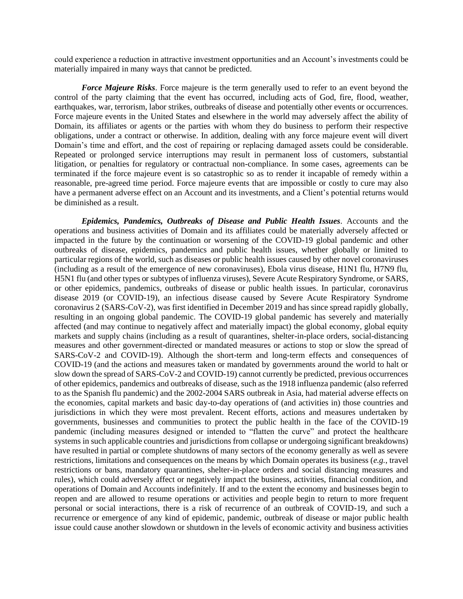could experience a reduction in attractive investment opportunities and an Account's investments could be materially impaired in many ways that cannot be predicted.

*Force Majeure Risks*. Force majeure is the term generally used to refer to an event beyond the control of the party claiming that the event has occurred, including acts of God, fire, flood, weather, earthquakes, war, terrorism, labor strikes, outbreaks of disease and potentially other events or occurrences. Force majeure events in the United States and elsewhere in the world may adversely affect the ability of Domain, its affiliates or agents or the parties with whom they do business to perform their respective obligations, under a contract or otherwise. In addition, dealing with any force majeure event will divert Domain's time and effort, and the cost of repairing or replacing damaged assets could be considerable. Repeated or prolonged service interruptions may result in permanent loss of customers, substantial litigation, or penalties for regulatory or contractual non-compliance. In some cases, agreements can be terminated if the force majeure event is so catastrophic so as to render it incapable of remedy within a reasonable, pre-agreed time period. Force majeure events that are impossible or costly to cure may also have a permanent adverse effect on an Account and its investments, and a Client's potential returns would be diminished as a result.

*Epidemics, Pandemics, Outbreaks of Disease and Public Health Issues.* Accounts and the operations and business activities of Domain and its affiliates could be materially adversely affected or impacted in the future by the continuation or worsening of the COVID-19 global pandemic and other outbreaks of disease, epidemics, pandemics and public health issues, whether globally or limited to particular regions of the world, such as diseases or public health issues caused by other novel coronaviruses (including as a result of the emergence of new coronaviruses), Ebola virus disease, H1N1 flu, H7N9 flu, H5N1 flu (and other types or subtypes of influenza viruses), Severe Acute Respiratory Syndrome, or SARS, or other epidemics, pandemics, outbreaks of disease or public health issues. In particular, coronavirus disease 2019 (or COVID-19), an infectious disease caused by Severe Acute Respiratory Syndrome coronavirus 2 (SARS-CoV-2), was first identified in December 2019 and has since spread rapidly globally, resulting in an ongoing global pandemic. The COVID-19 global pandemic has severely and materially affected (and may continue to negatively affect and materially impact) the global economy, global equity markets and supply chains (including as a result of quarantines, shelter-in-place orders, social-distancing measures and other government-directed or mandated measures or actions to stop or slow the spread of SARS-CoV-2 and COVID-19). Although the short-term and long-term effects and consequences of COVID-19 (and the actions and measures taken or mandated by governments around the world to halt or slow down the spread of SARS-CoV-2 and COVID-19) cannot currently be predicted, previous occurrences of other epidemics, pandemics and outbreaks of disease, such as the 1918 influenza pandemic (also referred to as the Spanish flu pandemic) and the 2002-2004 SARS outbreak in Asia, had material adverse effects on the economies, capital markets and basic day-to-day operations of (and activities in) those countries and jurisdictions in which they were most prevalent. Recent efforts, actions and measures undertaken by governments, businesses and communities to protect the public health in the face of the COVID-19 pandemic (including measures designed or intended to "flatten the curve" and protect the healthcare systems in such applicable countries and jurisdictions from collapse or undergoing significant breakdowns) have resulted in partial or complete shutdowns of many sectors of the economy generally as well as severe restrictions, limitations and consequences on the means by which Domain operates its business (*e.g.*, travel restrictions or bans, mandatory quarantines, shelter-in-place orders and social distancing measures and rules), which could adversely affect or negatively impact the business, activities, financial condition, and operations of Domain and Accounts indefinitely. If and to the extent the economy and businesses begin to reopen and are allowed to resume operations or activities and people begin to return to more frequent personal or social interactions, there is a risk of recurrence of an outbreak of COVID-19, and such a recurrence or emergence of any kind of epidemic, pandemic, outbreak of disease or major public health issue could cause another slowdown or shutdown in the levels of economic activity and business activities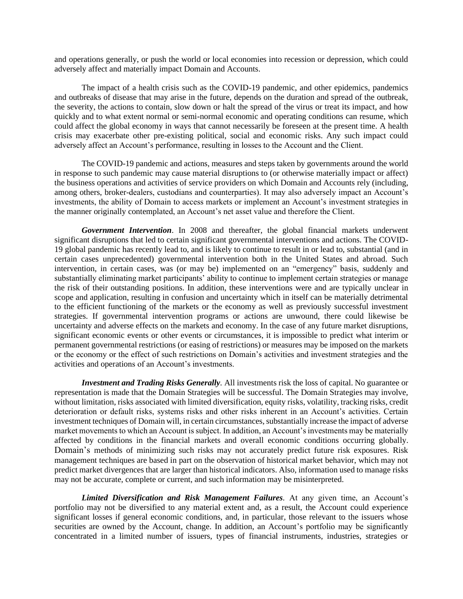and operations generally, or push the world or local economies into recession or depression, which could adversely affect and materially impact Domain and Accounts.

The impact of a health crisis such as the COVID-19 pandemic, and other epidemics, pandemics and outbreaks of disease that may arise in the future, depends on the duration and spread of the outbreak, the severity, the actions to contain, slow down or halt the spread of the virus or treat its impact, and how quickly and to what extent normal or semi-normal economic and operating conditions can resume, which could affect the global economy in ways that cannot necessarily be foreseen at the present time. A health crisis may exacerbate other pre-existing political, social and economic risks. Any such impact could adversely affect an Account's performance, resulting in losses to the Account and the Client.

The COVID-19 pandemic and actions, measures and steps taken by governments around the world in response to such pandemic may cause material disruptions to (or otherwise materially impact or affect) the business operations and activities of service providers on which Domain and Accounts rely (including, among others, broker-dealers, custodians and counterparties). It may also adversely impact an Account's investments, the ability of Domain to access markets or implement an Account's investment strategies in the manner originally contemplated, an Account's net asset value and therefore the Client.

*Government Intervention*. In 2008 and thereafter, the global financial markets underwent significant disruptions that led to certain significant governmental interventions and actions. The COVID-19 global pandemic has recently lead to, and is likely to continue to result in or lead to, substantial (and in certain cases unprecedented) governmental intervention both in the United States and abroad. Such intervention, in certain cases, was (or may be) implemented on an "emergency" basis, suddenly and substantially eliminating market participants' ability to continue to implement certain strategies or manage the risk of their outstanding positions. In addition, these interventions were and are typically unclear in scope and application, resulting in confusion and uncertainty which in itself can be materially detrimental to the efficient functioning of the markets or the economy as well as previously successful investment strategies. If governmental intervention programs or actions are unwound, there could likewise be uncertainty and adverse effects on the markets and economy. In the case of any future market disruptions, significant economic events or other events or circumstances, it is impossible to predict what interim or permanent governmental restrictions (or easing of restrictions) or measures may be imposed on the markets or the economy or the effect of such restrictions on Domain's activities and investment strategies and the activities and operations of an Account's investments.

*Investment and Trading Risks Generally.* All investments risk the loss of capital. No guarantee or representation is made that the Domain Strategies will be successful. The Domain Strategies may involve, without limitation, risks associated with limited diversification, equity risks, volatility, tracking risks, credit deterioration or default risks, systems risks and other risks inherent in an Account's activities. Certain investment techniques of Domain will, in certain circumstances, substantially increase the impact of adverse market movements to which an Account is subject. In addition, an Account's investments may be materially affected by conditions in the financial markets and overall economic conditions occurring globally. Domain's methods of minimizing such risks may not accurately predict future risk exposures. Risk management techniques are based in part on the observation of historical market behavior, which may not predict market divergences that are larger than historical indicators. Also, information used to manage risks may not be accurate, complete or current, and such information may be misinterpreted.

*Limited Diversification and Risk Management Failures.* At any given time, an Account's portfolio may not be diversified to any material extent and, as a result, the Account could experience significant losses if general economic conditions, and, in particular, those relevant to the issuers whose securities are owned by the Account, change. In addition, an Account's portfolio may be significantly concentrated in a limited number of issuers, types of financial instruments, industries, strategies or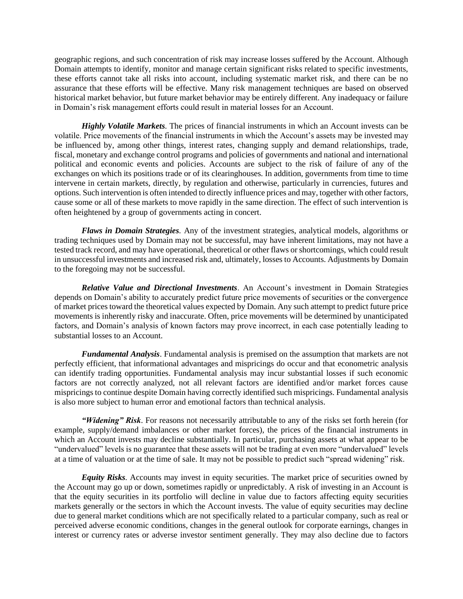geographic regions, and such concentration of risk may increase losses suffered by the Account. Although Domain attempts to identify, monitor and manage certain significant risks related to specific investments, these efforts cannot take all risks into account, including systematic market risk, and there can be no assurance that these efforts will be effective. Many risk management techniques are based on observed historical market behavior, but future market behavior may be entirely different. Any inadequacy or failure in Domain's risk management efforts could result in material losses for an Account.

*Highly Volatile Markets.* The prices of financial instruments in which an Account invests can be volatile. Price movements of the financial instruments in which the Account's assets may be invested may be influenced by, among other things, interest rates, changing supply and demand relationships, trade, fiscal, monetary and exchange control programs and policies of governments and national and international political and economic events and policies. Accounts are subject to the risk of failure of any of the exchanges on which its positions trade or of its clearinghouses. In addition, governments from time to time intervene in certain markets, directly, by regulation and otherwise, particularly in currencies, futures and options. Such intervention is often intended to directly influence prices and may, together with other factors, cause some or all of these markets to move rapidly in the same direction. The effect of such intervention is often heightened by a group of governments acting in concert.

*Flaws in Domain Strategies.* Any of the investment strategies, analytical models, algorithms or trading techniques used by Domain may not be successful, may have inherent limitations, may not have a tested track record, and may have operational, theoretical or other flaws or shortcomings, which could result in unsuccessful investments and increased risk and, ultimately, losses to Accounts. Adjustments by Domain to the foregoing may not be successful.

*Relative Value and Directional Investments*. An Account's investment in Domain Strategies depends on Domain's ability to accurately predict future price movements of securities or the convergence of market prices toward the theoretical values expected by Domain. Any such attempt to predict future price movements is inherently risky and inaccurate. Often, price movements will be determined by unanticipated factors, and Domain's analysis of known factors may prove incorrect, in each case potentially leading to substantial losses to an Account.

*Fundamental Analysis*. Fundamental analysis is premised on the assumption that markets are not perfectly efficient, that informational advantages and mispricings do occur and that econometric analysis can identify trading opportunities. Fundamental analysis may incur substantial losses if such economic factors are not correctly analyzed, not all relevant factors are identified and/or market forces cause mispricings to continue despite Domain having correctly identified such mispricings. Fundamental analysis is also more subject to human error and emotional factors than technical analysis.

*"Widening" Risk*. For reasons not necessarily attributable to any of the risks set forth herein (for example, supply/demand imbalances or other market forces), the prices of the financial instruments in which an Account invests may decline substantially. In particular, purchasing assets at what appear to be "undervalued" levels is no guarantee that these assets will not be trading at even more "undervalued" levels at a time of valuation or at the time of sale. It may not be possible to predict such "spread widening" risk.

*Equity Risks.* Accounts may invest in equity securities. The market price of securities owned by the Account may go up or down, sometimes rapidly or unpredictably. A risk of investing in an Account is that the equity securities in its portfolio will decline in value due to factors affecting equity securities markets generally or the sectors in which the Account invests. The value of equity securities may decline due to general market conditions which are not specifically related to a particular company, such as real or perceived adverse economic conditions, changes in the general outlook for corporate earnings, changes in interest or currency rates or adverse investor sentiment generally. They may also decline due to factors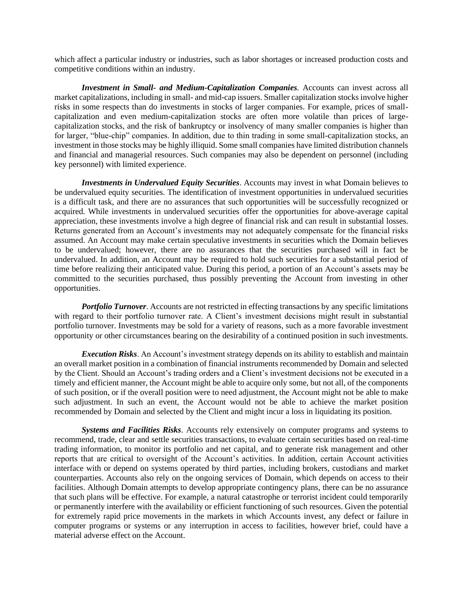which affect a particular industry or industries, such as labor shortages or increased production costs and competitive conditions within an industry.

*Investment in Small- and Medium-Capitalization Companies.* Accounts can invest across all market capitalizations, including in small- and mid-cap issuers. Smaller capitalization stocks involve higher risks in some respects than do investments in stocks of larger companies. For example, prices of smallcapitalization and even medium-capitalization stocks are often more volatile than prices of largecapitalization stocks, and the risk of bankruptcy or insolvency of many smaller companies is higher than for larger, "blue-chip" companies. In addition, due to thin trading in some small-capitalization stocks, an investment in those stocks may be highly illiquid. Some small companies have limited distribution channels and financial and managerial resources. Such companies may also be dependent on personnel (including key personnel) with limited experience.

*Investments in Undervalued Equity Securities*. Accounts may invest in what Domain believes to be undervalued equity securities. The identification of investment opportunities in undervalued securities is a difficult task, and there are no assurances that such opportunities will be successfully recognized or acquired. While investments in undervalued securities offer the opportunities for above-average capital appreciation, these investments involve a high degree of financial risk and can result in substantial losses. Returns generated from an Account's investments may not adequately compensate for the financial risks assumed. An Account may make certain speculative investments in securities which the Domain believes to be undervalued; however, there are no assurances that the securities purchased will in fact be undervalued. In addition, an Account may be required to hold such securities for a substantial period of time before realizing their anticipated value. During this period, a portion of an Account's assets may be committed to the securities purchased, thus possibly preventing the Account from investing in other opportunities.

*Portfolio Turnover.* Accounts are not restricted in effecting transactions by any specific limitations with regard to their portfolio turnover rate. A Client's investment decisions might result in substantial portfolio turnover. Investments may be sold for a variety of reasons, such as a more favorable investment opportunity or other circumstances bearing on the desirability of a continued position in such investments.

*Execution Risks*. An Account's investment strategy depends on its ability to establish and maintain an overall market position in a combination of financial instruments recommended by Domain and selected by the Client. Should an Account's trading orders and a Client's investment decisions not be executed in a timely and efficient manner, the Account might be able to acquire only some, but not all, of the components of such position, or if the overall position were to need adjustment, the Account might not be able to make such adjustment. In such an event, the Account would not be able to achieve the market position recommended by Domain and selected by the Client and might incur a loss in liquidating its position.

*Systems and Facilities Risks*. Accounts rely extensively on computer programs and systems to recommend, trade, clear and settle securities transactions, to evaluate certain securities based on real-time trading information, to monitor its portfolio and net capital, and to generate risk management and other reports that are critical to oversight of the Account's activities. In addition, certain Account activities interface with or depend on systems operated by third parties, including brokers, custodians and market counterparties. Accounts also rely on the ongoing services of Domain, which depends on access to their facilities. Although Domain attempts to develop appropriate contingency plans, there can be no assurance that such plans will be effective. For example, a natural catastrophe or terrorist incident could temporarily or permanently interfere with the availability or efficient functioning of such resources. Given the potential for extremely rapid price movements in the markets in which Accounts invest, any defect or failure in computer programs or systems or any interruption in access to facilities, however brief, could have a material adverse effect on the Account.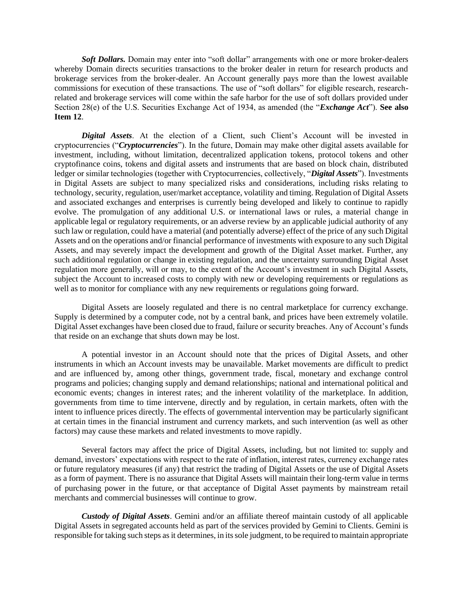*Soft Dollars.* Domain may enter into "soft dollar" arrangements with one or more broker-dealers whereby Domain directs securities transactions to the broker dealer in return for research products and brokerage services from the broker-dealer. An Account generally pays more than the lowest available commissions for execution of these transactions. The use of "soft dollars" for eligible research, researchrelated and brokerage services will come within the safe harbor for the use of soft dollars provided under Section 28(e) of the U.S. Securities Exchange Act of 1934, as amended (the "*Exchange Act*"). **See also Item 12**.

*Digital Assets*. At the election of a Client, such Client's Account will be invested in cryptocurrencies ("*Cryptocurrencies*"). In the future, Domain may make other digital assets available for investment, including, without limitation, decentralized application tokens, protocol tokens and other cryptofinance coins, tokens and digital assets and instruments that are based on block chain, distributed ledger or similar technologies (together with Cryptocurrencies, collectively, "*Digital Assets*"). Investments in Digital Assets are subject to many specialized risks and considerations, including risks relating to technology, security, regulation, user/market acceptance, volatility and timing. Regulation of Digital Assets and associated exchanges and enterprises is currently being developed and likely to continue to rapidly evolve. The promulgation of any additional U.S. or international laws or rules, a material change in applicable legal or regulatory requirements, or an adverse review by an applicable judicial authority of any such law or regulation, could have a material (and potentially adverse) effect of the price of any such Digital Assets and on the operations and/or financial performance of investments with exposure to any such Digital Assets, and may severely impact the development and growth of the Digital Asset market. Further, any such additional regulation or change in existing regulation, and the uncertainty surrounding Digital Asset regulation more generally, will or may, to the extent of the Account's investment in such Digital Assets, subject the Account to increased costs to comply with new or developing requirements or regulations as well as to monitor for compliance with any new requirements or regulations going forward.

Digital Assets are loosely regulated and there is no central marketplace for currency exchange. Supply is determined by a computer code, not by a central bank, and prices have been extremely volatile. Digital Asset exchanges have been closed due to fraud, failure or security breaches. Any of Account's funds that reside on an exchange that shuts down may be lost.

A potential investor in an Account should note that the prices of Digital Assets, and other instruments in which an Account invests may be unavailable. Market movements are difficult to predict and are influenced by, among other things, government trade, fiscal, monetary and exchange control programs and policies; changing supply and demand relationships; national and international political and economic events; changes in interest rates; and the inherent volatility of the marketplace. In addition, governments from time to time intervene, directly and by regulation, in certain markets, often with the intent to influence prices directly. The effects of governmental intervention may be particularly significant at certain times in the financial instrument and currency markets, and such intervention (as well as other factors) may cause these markets and related investments to move rapidly.

Several factors may affect the price of Digital Assets, including, but not limited to: supply and demand, investors' expectations with respect to the rate of inflation, interest rates, currency exchange rates or future regulatory measures (if any) that restrict the trading of Digital Assets or the use of Digital Assets as a form of payment. There is no assurance that Digital Assets will maintain their long-term value in terms of purchasing power in the future, or that acceptance of Digital Asset payments by mainstream retail merchants and commercial businesses will continue to grow.

*Custody of Digital Assets*. Gemini and/or an affiliate thereof maintain custody of all applicable Digital Assets in segregated accounts held as part of the services provided by Gemini to Clients. Gemini is responsible for taking such steps as it determines, in its sole judgment, to be required to maintain appropriate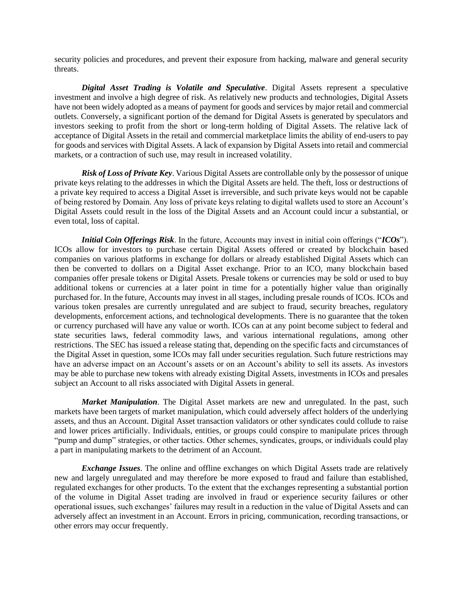security policies and procedures, and prevent their exposure from hacking, malware and general security threats.

*Digital Asset Trading is Volatile and Speculative*. Digital Assets represent a speculative investment and involve a high degree of risk. As relatively new products and technologies, Digital Assets have not been widely adopted as a means of payment for goods and services by major retail and commercial outlets. Conversely, a significant portion of the demand for Digital Assets is generated by speculators and investors seeking to profit from the short or long-term holding of Digital Assets. The relative lack of acceptance of Digital Assets in the retail and commercial marketplace limits the ability of end-users to pay for goods and services with Digital Assets. A lack of expansion by Digital Assets into retail and commercial markets, or a contraction of such use, may result in increased volatility.

*Risk of Loss of Private Key*. Various Digital Assets are controllable only by the possessor of unique private keys relating to the addresses in which the Digital Assets are held. The theft, loss or destructions of a private key required to access a Digital Asset is irreversible, and such private keys would not be capable of being restored by Domain. Any loss of private keys relating to digital wallets used to store an Account's Digital Assets could result in the loss of the Digital Assets and an Account could incur a substantial, or even total, loss of capital.

*Initial Coin Offerings Risk*. In the future, Accounts may invest in initial coin offerings ("*ICOs*"). ICOs allow for investors to purchase certain Digital Assets offered or created by blockchain based companies on various platforms in exchange for dollars or already established Digital Assets which can then be converted to dollars on a Digital Asset exchange. Prior to an ICO, many blockchain based companies offer presale tokens or Digital Assets. Presale tokens or currencies may be sold or used to buy additional tokens or currencies at a later point in time for a potentially higher value than originally purchased for. In the future, Accounts may invest in all stages, including presale rounds of ICOs. ICOs and various token presales are currently unregulated and are subject to fraud, security breaches, regulatory developments, enforcement actions, and technological developments. There is no guarantee that the token or currency purchased will have any value or worth. ICOs can at any point become subject to federal and state securities laws, federal commodity laws, and various international regulations, among other restrictions. The SEC has issued a release stating that, depending on the specific facts and circumstances of the Digital Asset in question, some ICOs may fall under securities regulation. Such future restrictions may have an adverse impact on an Account's assets or on an Account's ability to sell its assets. As investors may be able to purchase new tokens with already existing Digital Assets, investments in ICOs and presales subject an Account to all risks associated with Digital Assets in general.

*Market Manipulation*. The Digital Asset markets are new and unregulated. In the past, such markets have been targets of market manipulation, which could adversely affect holders of the underlying assets, and thus an Account. Digital Asset transaction validators or other syndicates could collude to raise and lower prices artificially. Individuals, entities, or groups could conspire to manipulate prices through "pump and dump" strategies, or other tactics. Other schemes, syndicates, groups, or individuals could play a part in manipulating markets to the detriment of an Account.

*Exchange Issues*. The online and offline exchanges on which Digital Assets trade are relatively new and largely unregulated and may therefore be more exposed to fraud and failure than established, regulated exchanges for other products. To the extent that the exchanges representing a substantial portion of the volume in Digital Asset trading are involved in fraud or experience security failures or other operational issues, such exchanges' failures may result in a reduction in the value of Digital Assets and can adversely affect an investment in an Account. Errors in pricing, communication, recording transactions, or other errors may occur frequently.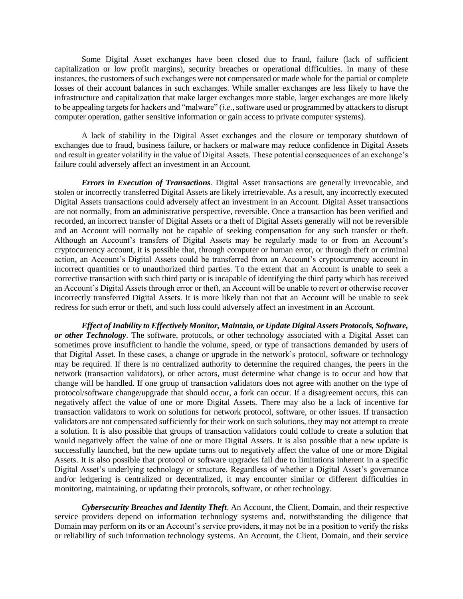Some Digital Asset exchanges have been closed due to fraud, failure (lack of sufficient capitalization or low profit margins), security breaches or operational difficulties. In many of these instances, the customers of such exchanges were not compensated or made whole for the partial or complete losses of their account balances in such exchanges. While smaller exchanges are less likely to have the infrastructure and capitalization that make larger exchanges more stable, larger exchanges are more likely to be appealing targets for hackers and "malware" (*i.e.*, software used or programmed by attackers to disrupt computer operation, gather sensitive information or gain access to private computer systems).

A lack of stability in the Digital Asset exchanges and the closure or temporary shutdown of exchanges due to fraud, business failure, or hackers or malware may reduce confidence in Digital Assets and result in greater volatility in the value of Digital Assets. These potential consequences of an exchange's failure could adversely affect an investment in an Account.

*Errors in Execution of Transactions*. Digital Asset transactions are generally irrevocable, and stolen or incorrectly transferred Digital Assets are likely irretrievable. As a result, any incorrectly executed Digital Assets transactions could adversely affect an investment in an Account. Digital Asset transactions are not normally, from an administrative perspective, reversible. Once a transaction has been verified and recorded, an incorrect transfer of Digital Assets or a theft of Digital Assets generally will not be reversible and an Account will normally not be capable of seeking compensation for any such transfer or theft. Although an Account's transfers of Digital Assets may be regularly made to or from an Account's cryptocurrency account, it is possible that, through computer or human error, or through theft or criminal action, an Account's Digital Assets could be transferred from an Account's cryptocurrency account in incorrect quantities or to unauthorized third parties. To the extent that an Account is unable to seek a corrective transaction with such third party or is incapable of identifying the third party which has received an Account's Digital Assets through error or theft, an Account will be unable to revert or otherwise recover incorrectly transferred Digital Assets. It is more likely than not that an Account will be unable to seek redress for such error or theft, and such loss could adversely affect an investment in an Account.

*Effect of Inability to Effectively Monitor, Maintain, or Update Digital Assets Protocols, Software, or other Technology*. The software, protocols, or other technology associated with a Digital Asset can sometimes prove insufficient to handle the volume, speed, or type of transactions demanded by users of that Digital Asset. In these cases, a change or upgrade in the network's protocol, software or technology may be required. If there is no centralized authority to determine the required changes, the peers in the network (transaction validators), or other actors, must determine what change is to occur and how that change will be handled. If one group of transaction validators does not agree with another on the type of protocol/software change/upgrade that should occur, a fork can occur. If a disagreement occurs, this can negatively affect the value of one or more Digital Assets. There may also be a lack of incentive for transaction validators to work on solutions for network protocol, software, or other issues. If transaction validators are not compensated sufficiently for their work on such solutions, they may not attempt to create a solution. It is also possible that groups of transaction validators could collude to create a solution that would negatively affect the value of one or more Digital Assets. It is also possible that a new update is successfully launched, but the new update turns out to negatively affect the value of one or more Digital Assets. It is also possible that protocol or software upgrades fail due to limitations inherent in a specific Digital Asset's underlying technology or structure. Regardless of whether a Digital Asset's governance and/or ledgering is centralized or decentralized, it may encounter similar or different difficulties in monitoring, maintaining, or updating their protocols, software, or other technology.

*Cybersecurity Breaches and Identity Theft*. An Account, the Client, Domain, and their respective service providers depend on information technology systems and, notwithstanding the diligence that Domain may perform on its or an Account's service providers, it may not be in a position to verify the risks or reliability of such information technology systems. An Account, the Client, Domain, and their service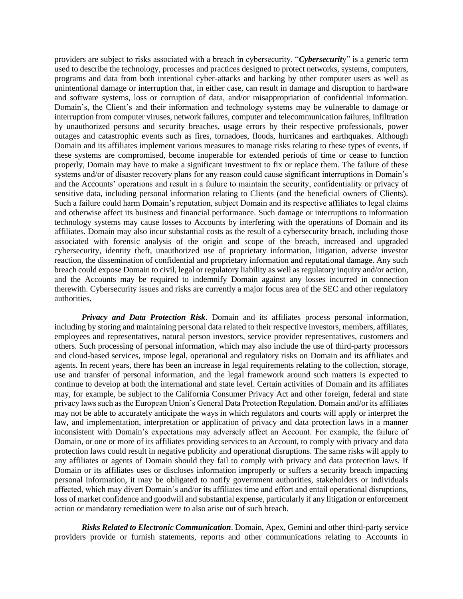providers are subject to risks associated with a breach in cybersecurity. "*Cybersecurit*y" is a generic term used to describe the technology, processes and practices designed to protect networks, systems, computers, programs and data from both intentional cyber-attacks and hacking by other computer users as well as unintentional damage or interruption that, in either case, can result in damage and disruption to hardware and software systems, loss or corruption of data, and/or misappropriation of confidential information. Domain's, the Client's and their information and technology systems may be vulnerable to damage or interruption from computer viruses, network failures, computer and telecommunication failures, infiltration by unauthorized persons and security breaches, usage errors by their respective professionals, power outages and catastrophic events such as fires, tornadoes, floods, hurricanes and earthquakes. Although Domain and its affiliates implement various measures to manage risks relating to these types of events, if these systems are compromised, become inoperable for extended periods of time or cease to function properly, Domain may have to make a significant investment to fix or replace them. The failure of these systems and/or of disaster recovery plans for any reason could cause significant interruptions in Domain's and the Accounts' operations and result in a failure to maintain the security, confidentiality or privacy of sensitive data, including personal information relating to Clients (and the beneficial owners of Clients). Such a failure could harm Domain's reputation, subject Domain and its respective affiliates to legal claims and otherwise affect its business and financial performance. Such damage or interruptions to information technology systems may cause losses to Accounts by interfering with the operations of Domain and its affiliates. Domain may also incur substantial costs as the result of a cybersecurity breach, including those associated with forensic analysis of the origin and scope of the breach, increased and upgraded cybersecurity, identity theft, unauthorized use of proprietary information, litigation, adverse investor reaction, the dissemination of confidential and proprietary information and reputational damage. Any such breach could expose Domain to civil, legal or regulatory liability as well as regulatory inquiry and/or action, and the Accounts may be required to indemnify Domain against any losses incurred in connection therewith. Cybersecurity issues and risks are currently a major focus area of the SEC and other regulatory authorities.

*Privacy and Data Protection Risk*. Domain and its affiliates process personal information, including by storing and maintaining personal data related to their respective investors, members, affiliates, employees and representatives, natural person investors, service provider representatives, customers and others. Such processing of personal information, which may also include the use of third-party processors and cloud-based services, impose legal, operational and regulatory risks on Domain and its affiliates and agents. In recent years, there has been an increase in legal requirements relating to the collection, storage, use and transfer of personal information, and the legal framework around such matters is expected to continue to develop at both the international and state level. Certain activities of Domain and its affiliates may, for example, be subject to the California Consumer Privacy Act and other foreign, federal and state privacy laws such as the European Union's General Data Protection Regulation. Domain and/or its affiliates may not be able to accurately anticipate the ways in which regulators and courts will apply or interpret the law, and implementation, interpretation or application of privacy and data protection laws in a manner inconsistent with Domain's expectations may adversely affect an Account. For example, the failure of Domain, or one or more of its affiliates providing services to an Account, to comply with privacy and data protection laws could result in negative publicity and operational disruptions. The same risks will apply to any affiliates or agents of Domain should they fail to comply with privacy and data protection laws. If Domain or its affiliates uses or discloses information improperly or suffers a security breach impacting personal information, it may be obligated to notify government authorities, stakeholders or individuals affected, which may divert Domain's and/or its affiliates time and effort and entail operational disruptions, loss of market confidence and goodwill and substantial expense, particularly if any litigation or enforcement action or mandatory remediation were to also arise out of such breach.

*Risks Related to Electronic Communication*. Domain, Apex, Gemini and other third-party service providers provide or furnish statements, reports and other communications relating to Accounts in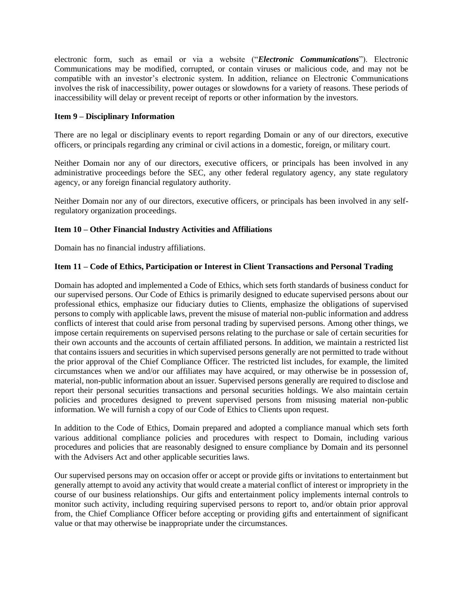electronic form, such as email or via a website ("*Electronic Communications*"). Electronic Communications may be modified, corrupted, or contain viruses or malicious code, and may not be compatible with an investor's electronic system. In addition, reliance on Electronic Communications involves the risk of inaccessibility, power outages or slowdowns for a variety of reasons. These periods of inaccessibility will delay or prevent receipt of reports or other information by the investors.

## <span id="page-17-0"></span>**Item 9 – Disciplinary Information**

There are no legal or disciplinary events to report regarding Domain or any of our directors, executive officers, or principals regarding any criminal or civil actions in a domestic, foreign, or military court.

Neither Domain nor any of our directors, executive officers, or principals has been involved in any administrative proceedings before the SEC, any other federal regulatory agency, any state regulatory agency, or any foreign financial regulatory authority.

Neither Domain nor any of our directors, executive officers, or principals has been involved in any selfregulatory organization proceedings.

## <span id="page-17-1"></span>**Item 10 – Other Financial Industry Activities and Affiliations**

Domain has no financial industry affiliations.

## <span id="page-17-2"></span>**Item 11 – Code of Ethics, Participation or Interest in Client Transactions and Personal Trading**

Domain has adopted and implemented a Code of Ethics, which sets forth standards of business conduct for our supervised persons. Our Code of Ethics is primarily designed to educate supervised persons about our professional ethics, emphasize our fiduciary duties to Clients, emphasize the obligations of supervised persons to comply with applicable laws, prevent the misuse of material non-public information and address conflicts of interest that could arise from personal trading by supervised persons. Among other things, we impose certain requirements on supervised persons relating to the purchase or sale of certain securities for their own accounts and the accounts of certain affiliated persons. In addition, we maintain a restricted list that contains issuers and securities in which supervised persons generally are not permitted to trade without the prior approval of the Chief Compliance Officer. The restricted list includes, for example, the limited circumstances when we and/or our affiliates may have acquired, or may otherwise be in possession of, material, non-public information about an issuer. Supervised persons generally are required to disclose and report their personal securities transactions and personal securities holdings. We also maintain certain policies and procedures designed to prevent supervised persons from misusing material non-public information. We will furnish a copy of our Code of Ethics to Clients upon request.

In addition to the Code of Ethics, Domain prepared and adopted a compliance manual which sets forth various additional compliance policies and procedures with respect to Domain, including various procedures and policies that are reasonably designed to ensure compliance by Domain and its personnel with the Advisers Act and other applicable securities laws.

Our supervised persons may on occasion offer or accept or provide gifts or invitations to entertainment but generally attempt to avoid any activity that would create a material conflict of interest or impropriety in the course of our business relationships. Our gifts and entertainment policy implements internal controls to monitor such activity, including requiring supervised persons to report to, and/or obtain prior approval from, the Chief Compliance Officer before accepting or providing gifts and entertainment of significant value or that may otherwise be inappropriate under the circumstances.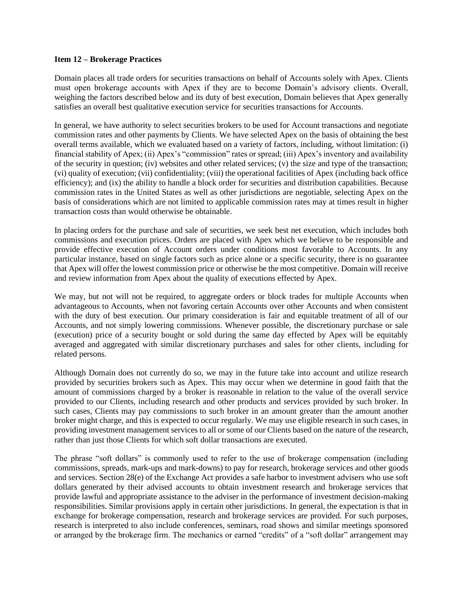#### <span id="page-18-0"></span>**Item 12 – Brokerage Practices**

Domain places all trade orders for securities transactions on behalf of Accounts solely with Apex. Clients must open brokerage accounts with Apex if they are to become Domain's advisory clients. Overall, weighing the factors described below and its duty of best execution, Domain believes that Apex generally satisfies an overall best qualitative execution service for securities transactions for Accounts.

In general, we have authority to select securities brokers to be used for Account transactions and negotiate commission rates and other payments by Clients. We have selected Apex on the basis of obtaining the best overall terms available, which we evaluated based on a variety of factors, including, without limitation: (i) financial stability of Apex; (ii) Apex's "commission" rates or spread; (iii) Apex's inventory and availability of the security in question; (iv) websites and other related services; (v) the size and type of the transaction; (vi) quality of execution; (vii) confidentiality; (viii) the operational facilities of Apex (including back office efficiency); and (ix) the ability to handle a block order for securities and distribution capabilities. Because commission rates in the United States as well as other jurisdictions are negotiable, selecting Apex on the basis of considerations which are not limited to applicable commission rates may at times result in higher transaction costs than would otherwise be obtainable.

In placing orders for the purchase and sale of securities, we seek best net execution, which includes both commissions and execution prices. Orders are placed with Apex which we believe to be responsible and provide effective execution of Account orders under conditions most favorable to Accounts. In any particular instance, based on single factors such as price alone or a specific security, there is no guarantee that Apex will offer the lowest commission price or otherwise be the most competitive. Domain will receive and review information from Apex about the quality of executions effected by Apex.

We may, but not will not be required, to aggregate orders or block trades for multiple Accounts when advantageous to Accounts, when not favoring certain Accounts over other Accounts and when consistent with the duty of best execution. Our primary consideration is fair and equitable treatment of all of our Accounts, and not simply lowering commissions. Whenever possible, the discretionary purchase or sale (execution) price of a security bought or sold during the same day effected by Apex will be equitably averaged and aggregated with similar discretionary purchases and sales for other clients, including for related persons.

Although Domain does not currently do so, we may in the future take into account and utilize research provided by securities brokers such as Apex. This may occur when we determine in good faith that the amount of commissions charged by a broker is reasonable in relation to the value of the overall service provided to our Clients, including research and other products and services provided by such broker. In such cases, Clients may pay commissions to such broker in an amount greater than the amount another broker might charge, and this is expected to occur regularly. We may use eligible research in such cases, in providing investment management services to all or some of our Clients based on the nature of the research, rather than just those Clients for which soft dollar transactions are executed.

The phrase "soft dollars" is commonly used to refer to the use of brokerage compensation (including commissions, spreads, mark-ups and mark-downs) to pay for research, brokerage services and other goods and services. Section 28(e) of the Exchange Act provides a safe harbor to investment advisers who use soft dollars generated by their advised accounts to obtain investment research and brokerage services that provide lawful and appropriate assistance to the adviser in the performance of investment decision-making responsibilities. Similar provisions apply in certain other jurisdictions. In general, the expectation is that in exchange for brokerage compensation, research and brokerage services are provided. For such purposes, research is interpreted to also include conferences, seminars, road shows and similar meetings sponsored or arranged by the brokerage firm. The mechanics or earned "credits" of a "soft dollar" arrangement may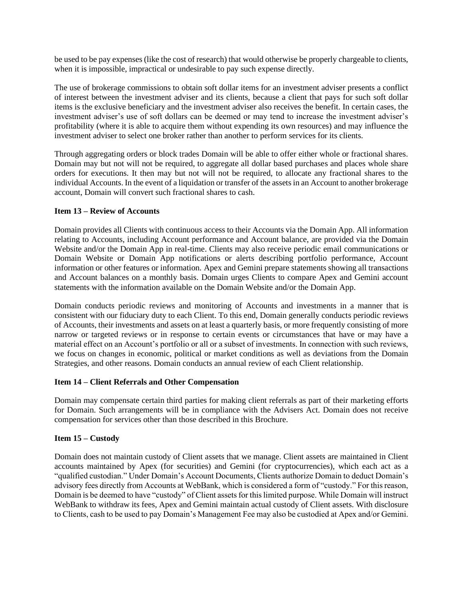be used to be pay expenses (like the cost of research) that would otherwise be properly chargeable to clients, when it is impossible, impractical or undesirable to pay such expense directly.

The use of brokerage commissions to obtain soft dollar items for an investment adviser presents a conflict of interest between the investment adviser and its clients, because a client that pays for such soft dollar items is the exclusive beneficiary and the investment adviser also receives the benefit. In certain cases, the investment adviser's use of soft dollars can be deemed or may tend to increase the investment adviser's profitability (where it is able to acquire them without expending its own resources) and may influence the investment adviser to select one broker rather than another to perform services for its clients.

Through aggregating orders or block trades Domain will be able to offer either whole or fractional shares. Domain may but not will not be required, to aggregate all dollar based purchases and places whole share orders for executions. It then may but not will not be required, to allocate any fractional shares to the individual Accounts. In the event of a liquidation or transfer of the assets in an Account to another brokerage account, Domain will convert such fractional shares to cash.

## <span id="page-19-0"></span>**Item 13 – Review of Accounts**

Domain provides all Clients with continuous access to their Accounts via the Domain App. All information relating to Accounts, including Account performance and Account balance, are provided via the Domain Website and/or the Domain App in real-time. Clients may also receive periodic email communications or Domain Website or Domain App notifications or alerts describing portfolio performance, Account information or other features or information. Apex and Gemini prepare statements showing all transactions and Account balances on a monthly basis. Domain urges Clients to compare Apex and Gemini account statements with the information available on the Domain Website and/or the Domain App.

Domain conducts periodic reviews and monitoring of Accounts and investments in a manner that is consistent with our fiduciary duty to each Client. To this end, Domain generally conducts periodic reviews of Accounts, their investments and assets on at least a quarterly basis, or more frequently consisting of more narrow or targeted reviews or in response to certain events or circumstances that have or may have a material effect on an Account's portfolio or all or a subset of investments. In connection with such reviews, we focus on changes in economic, political or market conditions as well as deviations from the Domain Strategies, and other reasons. Domain conducts an annual review of each Client relationship.

#### <span id="page-19-1"></span>**Item 14 – Client Referrals and Other Compensation**

Domain may compensate certain third parties for making client referrals as part of their marketing efforts for Domain. Such arrangements will be in compliance with the Advisers Act. Domain does not receive compensation for services other than those described in this Brochure.

## <span id="page-19-2"></span>**Item 15 – Custody**

Domain does not maintain custody of Client assets that we manage. Client assets are maintained in Client accounts maintained by Apex (for securities) and Gemini (for cryptocurrencies), which each act as a "qualified custodian." Under Domain's Account Documents, Clients authorize Domain to deduct Domain's advisory fees directly from Accounts at WebBank, which is considered a form of "custody." For this reason, Domain is be deemed to have "custody" of Client assets for this limited purpose. While Domain will instruct WebBank to withdraw its fees, Apex and Gemini maintain actual custody of Client assets. With disclosure to Clients, cash to be used to pay Domain's Management Fee may also be custodied at Apex and/or Gemini.